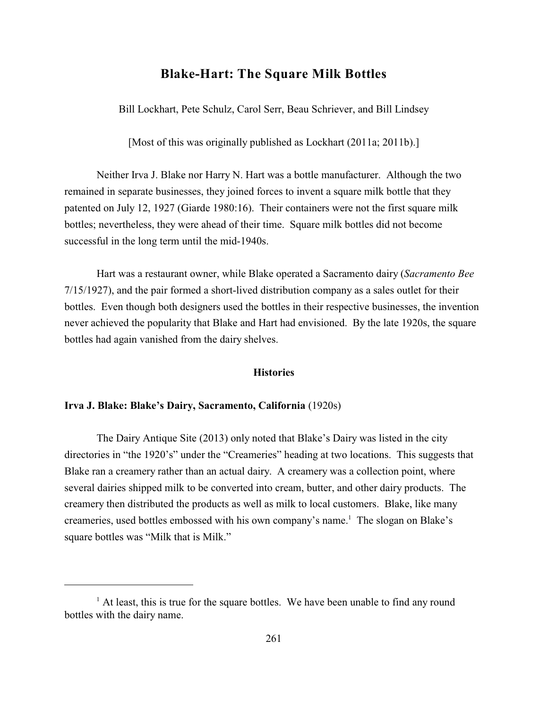# **Blake-Hart: The Square Milk Bottles**

Bill Lockhart, Pete Schulz, Carol Serr, Beau Schriever, and Bill Lindsey

[Most of this was originally published as Lockhart (2011a; 2011b).]

Neither Irva J. Blake nor Harry N. Hart was a bottle manufacturer. Although the two remained in separate businesses, they joined forces to invent a square milk bottle that they patented on July 12, 1927 (Giarde 1980:16). Their containers were not the first square milk bottles; nevertheless, they were ahead of their time. Square milk bottles did not become successful in the long term until the mid-1940s.

Hart was a restaurant owner, while Blake operated a Sacramento dairy (*Sacramento Bee* 7/15/1927), and the pair formed a short-lived distribution company as a sales outlet for their bottles. Even though both designers used the bottles in their respective businesses, the invention never achieved the popularity that Blake and Hart had envisioned. By the late 1920s, the square bottles had again vanished from the dairy shelves.

## **Histories**

### **Irva J. Blake: Blake's Dairy, Sacramento, California** (1920s)

The Dairy Antique Site (2013) only noted that Blake's Dairy was listed in the city directories in "the 1920's" under the "Creameries" heading at two locations. This suggests that Blake ran a creamery rather than an actual dairy. A creamery was a collection point, where several dairies shipped milk to be converted into cream, butter, and other dairy products. The creamery then distributed the products as well as milk to local customers. Blake, like many creameries, used bottles embossed with his own company's name.<sup>1</sup> The slogan on Blake's square bottles was "Milk that is Milk."

 $<sup>1</sup>$  At least, this is true for the square bottles. We have been unable to find any round</sup> bottles with the dairy name.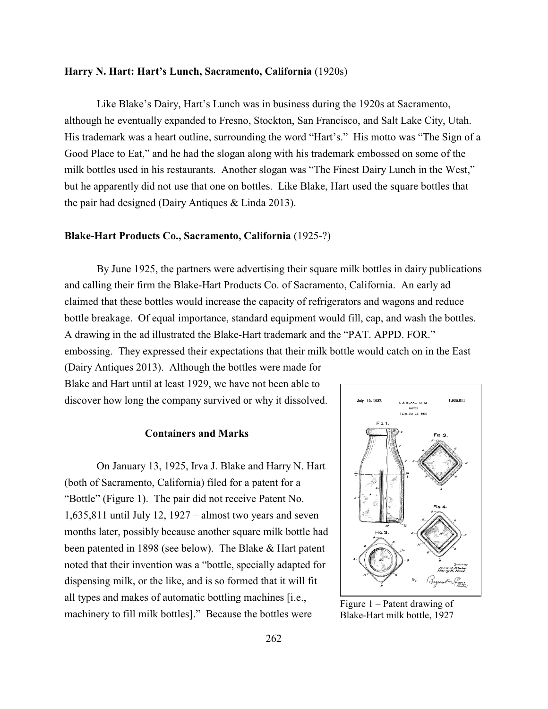## **Harry N. Hart: Hart's Lunch, Sacramento, California** (1920s)

Like Blake's Dairy, Hart's Lunch was in business during the 1920s at Sacramento, although he eventually expanded to Fresno, Stockton, San Francisco, and Salt Lake City, Utah. His trademark was a heart outline, surrounding the word "Hart's." His motto was "The Sign of a Good Place to Eat," and he had the slogan along with his trademark embossed on some of the milk bottles used in his restaurants. Another slogan was "The Finest Dairy Lunch in the West," but he apparently did not use that one on bottles. Like Blake, Hart used the square bottles that the pair had designed (Dairy Antiques & Linda 2013).

## **Blake-Hart Products Co., Sacramento, California** (1925-?)

By June 1925, the partners were advertising their square milk bottles in dairy publications and calling their firm the Blake-Hart Products Co. of Sacramento, California. An early ad claimed that these bottles would increase the capacity of refrigerators and wagons and reduce bottle breakage. Of equal importance, standard equipment would fill, cap, and wash the bottles. A drawing in the ad illustrated the Blake-Hart trademark and the "PAT. APPD. FOR." embossing. They expressed their expectations that their milk bottle would catch on in the East

(Dairy Antiques 2013). Although the bottles were made for Blake and Hart until at least 1929, we have not been able to discover how long the company survived or why it dissolved.

# **Containers and Marks**

On January 13, 1925, Irva J. Blake and Harry N. Hart (both of Sacramento, California) filed for a patent for a "Bottle" (Figure 1). The pair did not receive Patent No. 1,635,811 until July 12, 1927 – almost two years and seven months later, possibly because another square milk bottle had been patented in 1898 (see below). The Blake & Hart patent noted that their invention was a "bottle, specially adapted for dispensing milk, or the like, and is so formed that it will fit all types and makes of automatic bottling machines [i.e., machinery to fill milk bottles]." Because the bottles were



Figure 1 – Patent drawing of Blake-Hart milk bottle, 1927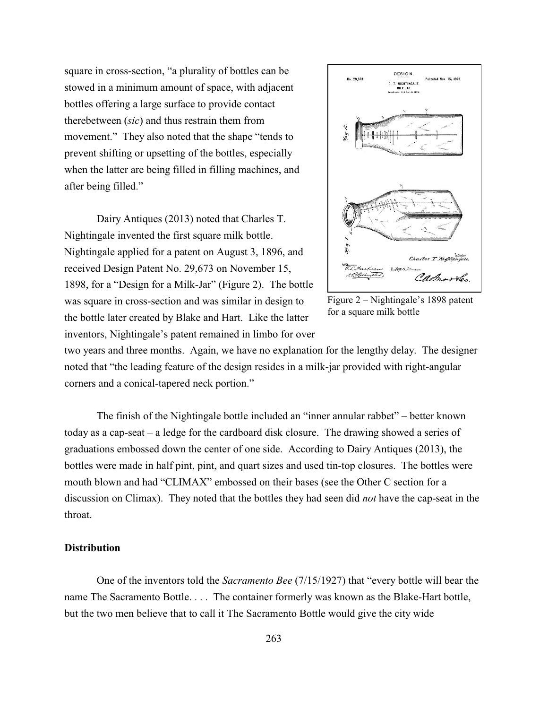square in cross-section, "a plurality of bottles can be stowed in a minimum amount of space, with adjacent bottles offering a large surface to provide contact therebetween (*sic*) and thus restrain them from movement." They also noted that the shape "tends to prevent shifting or upsetting of the bottles, especially when the latter are being filled in filling machines, and after being filled."

Dairy Antiques (2013) noted that Charles T. Nightingale invented the first square milk bottle. Nightingale applied for a patent on August 3, 1896, and received Design Patent No. 29,673 on November 15, 1898, for a "Design for a Milk-Jar" (Figure 2). The bottle was square in cross-section and was similar in design to the bottle later created by Blake and Hart. Like the latter inventors, Nightingale's patent remained in limbo for over



Figure 2 – Nightingale's 1898 patent for a square milk bottle

two years and three months. Again, we have no explanation for the lengthy delay. The designer noted that "the leading feature of the design resides in a milk-jar provided with right-angular corners and a conical-tapered neck portion."

The finish of the Nightingale bottle included an "inner annular rabbet" – better known today as a cap-seat – a ledge for the cardboard disk closure. The drawing showed a series of graduations embossed down the center of one side. According to Dairy Antiques (2013), the bottles were made in half pint, pint, and quart sizes and used tin-top closures. The bottles were mouth blown and had "CLIMAX" embossed on their bases (see the Other C section for a discussion on Climax). They noted that the bottles they had seen did *not* have the cap-seat in the throat.

### **Distribution**

One of the inventors told the *Sacramento Bee* (7/15/1927) that "every bottle will bear the name The Sacramento Bottle. . . . The container formerly was known as the Blake-Hart bottle, but the two men believe that to call it The Sacramento Bottle would give the city wide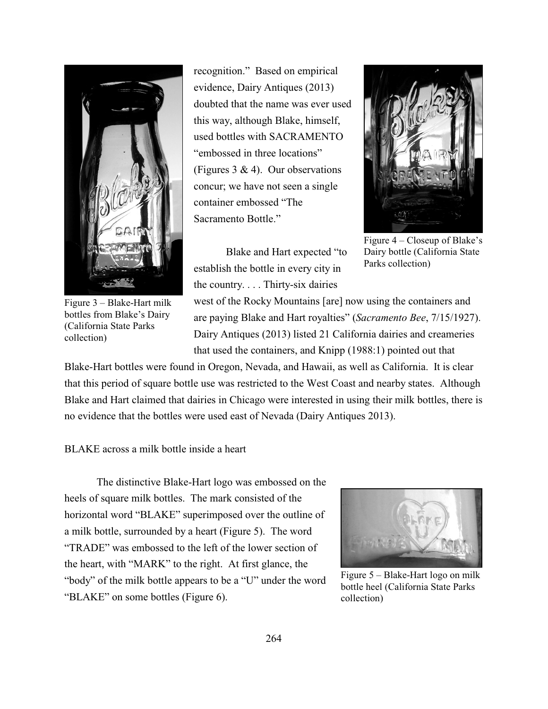

Figure 3 – Blake-Hart milk bottles from Blake's Dairy (California State Parks collection)

recognition." Based on empirical evidence, Dairy Antiques (2013) doubted that the name was ever used this way, although Blake, himself, used bottles with SACRAMENTO "embossed in three locations" (Figures 3 & 4). Our observations concur; we have not seen a single container embossed "The Sacramento Bottle."

Blake and Hart expected "to establish the bottle in every city in the country. . . . Thirty-six dairies



Figure 4 – Closeup of Blake's Dairy bottle (California State Parks collection)

west of the Rocky Mountains [are] now using the containers and are paying Blake and Hart royalties" (*Sacramento Bee*, 7/15/1927). Dairy Antiques (2013) listed 21 California dairies and creameries that used the containers, and Knipp (1988:1) pointed out that

Blake-Hart bottles were found in Oregon, Nevada, and Hawaii, as well as California. It is clear that this period of square bottle use was restricted to the West Coast and nearby states. Although Blake and Hart claimed that dairies in Chicago were interested in using their milk bottles, there is no evidence that the bottles were used east of Nevada (Dairy Antiques 2013).

BLAKE across a milk bottle inside a heart

The distinctive Blake-Hart logo was embossed on the heels of square milk bottles. The mark consisted of the horizontal word "BLAKE" superimposed over the outline of a milk bottle, surrounded by a heart (Figure 5). The word "TRADE" was embossed to the left of the lower section of the heart, with "MARK" to the right. At first glance, the "body" of the milk bottle appears to be a "U" under the word "BLAKE" on some bottles (Figure 6).



Figure 5 – Blake-Hart logo on milk bottle heel (California State Parks collection)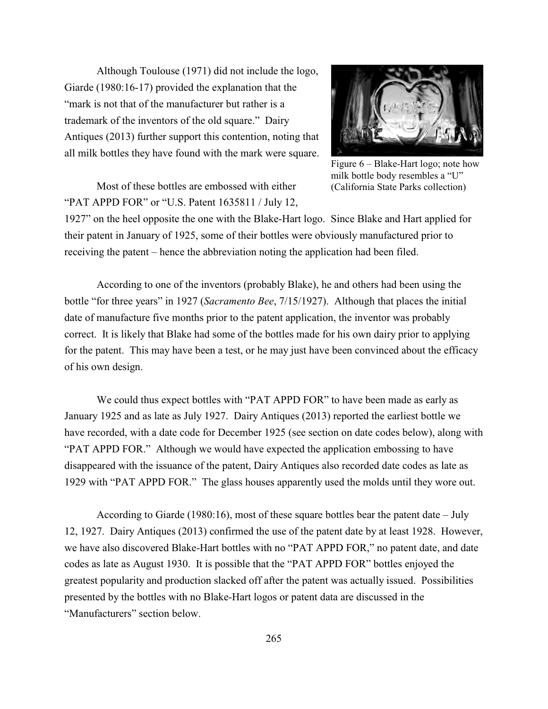Although Toulouse (1971) did not include the logo, Giarde (1980:16-17) provided the explanation that the "mark is not that of the manufacturer but rather is a trademark of the inventors of the old square." Dairy Antiques (2013) further support this contention, noting that all milk bottles they have found with the mark were square.

Most of these bottles are embossed with either "PAT APPD FOR" or "U.S. Patent 1635811 / July 12,



Figure 6 – Blake-Hart logo; note how milk bottle body resembles a "U" (California State Parks collection)

1927" on the heel opposite the one with the Blake-Hart logo. Since Blake and Hart applied for their patent in January of 1925, some of their bottles were obviously manufactured prior to receiving the patent – hence the abbreviation noting the application had been filed.

According to one of the inventors (probably Blake), he and others had been using the bottle "for three years" in 1927 (*Sacramento Bee*, 7/15/1927). Although that places the initial date of manufacture five months prior to the patent application, the inventor was probably correct. It is likely that Blake had some of the bottles made for his own dairy prior to applying for the patent. This may have been a test, or he may just have been convinced about the efficacy of his own design.

We could thus expect bottles with "PAT APPD FOR" to have been made as early as January 1925 and as late as July 1927. Dairy Antiques (2013) reported the earliest bottle we have recorded, with a date code for December 1925 (see section on date codes below), along with "PAT APPD FOR." Although we would have expected the application embossing to have disappeared with the issuance of the patent, Dairy Antiques also recorded date codes as late as 1929 with "PAT APPD FOR." The glass houses apparently used the molds until they wore out.

According to Giarde (1980:16), most of these square bottles bear the patent date – July 12, 1927. Dairy Antiques (2013) confirmed the use of the patent date by at least 1928. However, we have also discovered Blake-Hart bottles with no "PAT APPD FOR," no patent date, and date codes as late as August 1930. It is possible that the "PAT APPD FOR" bottles enjoyed the greatest popularity and production slacked off after the patent was actually issued. Possibilities presented by the bottles with no Blake-Hart logos or patent data are discussed in the "Manufacturers" section below.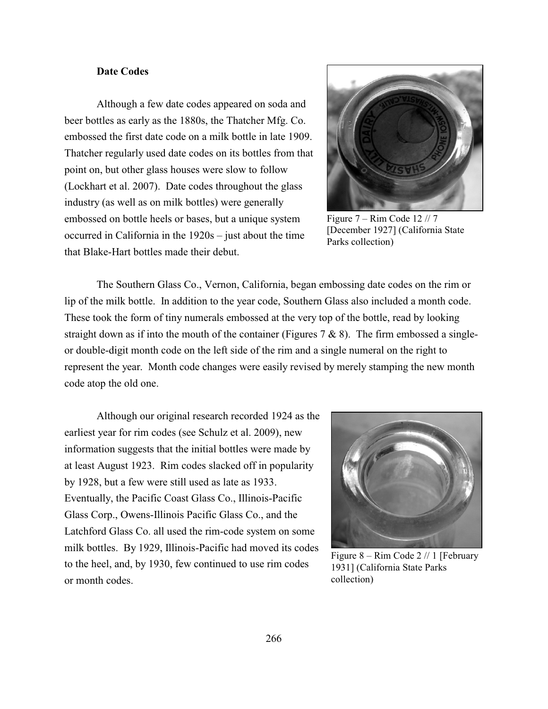# **Date Codes**

Although a few date codes appeared on soda and beer bottles as early as the 1880s, the Thatcher Mfg. Co. embossed the first date code on a milk bottle in late 1909. Thatcher regularly used date codes on its bottles from that point on, but other glass houses were slow to follow (Lockhart et al. 2007). Date codes throughout the glass industry (as well as on milk bottles) were generally embossed on bottle heels or bases, but a unique system occurred in California in the 1920s – just about the time that Blake-Hart bottles made their debut.



Figure  $7 -$  Rim Code 12 // 7 [December 1927] (California State Parks collection)

The Southern Glass Co., Vernon, California, began embossing date codes on the rim or lip of the milk bottle. In addition to the year code, Southern Glass also included a month code. These took the form of tiny numerals embossed at the very top of the bottle, read by looking straight down as if into the mouth of the container (Figures  $7 & 8 & 8$ ). The firm embossed a singleor double-digit month code on the left side of the rim and a single numeral on the right to represent the year. Month code changes were easily revised by merely stamping the new month code atop the old one.

Although our original research recorded 1924 as the earliest year for rim codes (see Schulz et al. 2009), new information suggests that the initial bottles were made by at least August 1923. Rim codes slacked off in popularity by 1928, but a few were still used as late as 1933. Eventually, the Pacific Coast Glass Co., Illinois-Pacific Glass Corp., Owens-Illinois Pacific Glass Co., and the Latchford Glass Co. all used the rim-code system on some milk bottles. By 1929, Illinois-Pacific had moved its codes to the heel, and, by 1930, few continued to use rim codes or month codes.



Figure 8 – Rim Code 2 // 1 [February 1931] (California State Parks collection)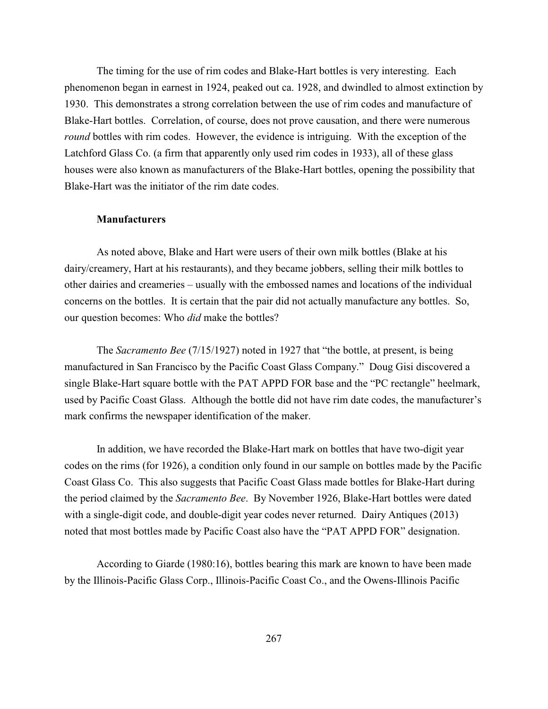The timing for the use of rim codes and Blake-Hart bottles is very interesting. Each phenomenon began in earnest in 1924, peaked out ca. 1928, and dwindled to almost extinction by 1930. This demonstrates a strong correlation between the use of rim codes and manufacture of Blake-Hart bottles. Correlation, of course, does not prove causation, and there were numerous *round* bottles with rim codes. However, the evidence is intriguing. With the exception of the Latchford Glass Co. (a firm that apparently only used rim codes in 1933), all of these glass houses were also known as manufacturers of the Blake-Hart bottles, opening the possibility that Blake-Hart was the initiator of the rim date codes.

#### **Manufacturers**

As noted above, Blake and Hart were users of their own milk bottles (Blake at his dairy/creamery, Hart at his restaurants), and they became jobbers, selling their milk bottles to other dairies and creameries – usually with the embossed names and locations of the individual concerns on the bottles. It is certain that the pair did not actually manufacture any bottles. So, our question becomes: Who *did* make the bottles?

The *Sacramento Bee* (7/15/1927) noted in 1927 that "the bottle, at present, is being manufactured in San Francisco by the Pacific Coast Glass Company." Doug Gisi discovered a single Blake-Hart square bottle with the PAT APPD FOR base and the "PC rectangle" heelmark, used by Pacific Coast Glass. Although the bottle did not have rim date codes, the manufacturer's mark confirms the newspaper identification of the maker.

In addition, we have recorded the Blake-Hart mark on bottles that have two-digit year codes on the rims (for 1926), a condition only found in our sample on bottles made by the Pacific Coast Glass Co. This also suggests that Pacific Coast Glass made bottles for Blake-Hart during the period claimed by the *Sacramento Bee*. By November 1926, Blake-Hart bottles were dated with a single-digit code, and double-digit year codes never returned. Dairy Antiques (2013) noted that most bottles made by Pacific Coast also have the "PAT APPD FOR" designation.

According to Giarde (1980:16), bottles bearing this mark are known to have been made by the Illinois-Pacific Glass Corp., Illinois-Pacific Coast Co., and the Owens-Illinois Pacific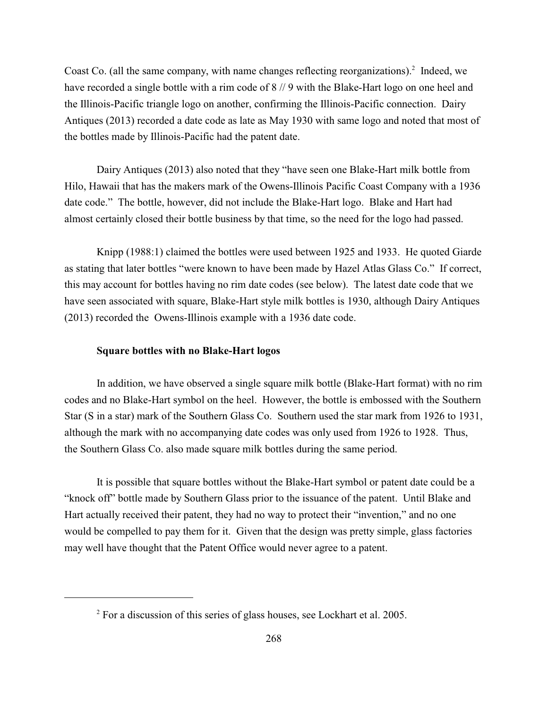Coast Co. (all the same company, with name changes reflecting reorganizations). $2$  Indeed, we have recorded a single bottle with a rim code of  $8 // 9$  with the Blake-Hart logo on one heel and the Illinois-Pacific triangle logo on another, confirming the Illinois-Pacific connection. Dairy Antiques (2013) recorded a date code as late as May 1930 with same logo and noted that most of the bottles made by Illinois-Pacific had the patent date.

Dairy Antiques (2013) also noted that they "have seen one Blake-Hart milk bottle from Hilo, Hawaii that has the makers mark of the Owens-Illinois Pacific Coast Company with a 1936 date code." The bottle, however, did not include the Blake-Hart logo. Blake and Hart had almost certainly closed their bottle business by that time, so the need for the logo had passed.

Knipp (1988:1) claimed the bottles were used between 1925 and 1933. He quoted Giarde as stating that later bottles "were known to have been made by Hazel Atlas Glass Co." If correct, this may account for bottles having no rim date codes (see below). The latest date code that we have seen associated with square, Blake-Hart style milk bottles is 1930, although Dairy Antiques (2013) recorded the Owens-Illinois example with a 1936 date code.

## **Square bottles with no Blake-Hart logos**

In addition, we have observed a single square milk bottle (Blake-Hart format) with no rim codes and no Blake-Hart symbol on the heel. However, the bottle is embossed with the Southern Star (S in a star) mark of the Southern Glass Co. Southern used the star mark from 1926 to 1931, although the mark with no accompanying date codes was only used from 1926 to 1928. Thus, the Southern Glass Co. also made square milk bottles during the same period.

It is possible that square bottles without the Blake-Hart symbol or patent date could be a "knock off" bottle made by Southern Glass prior to the issuance of the patent. Until Blake and Hart actually received their patent, they had no way to protect their "invention," and no one would be compelled to pay them for it. Given that the design was pretty simple, glass factories may well have thought that the Patent Office would never agree to a patent.

 $2$  For a discussion of this series of glass houses, see Lockhart et al. 2005.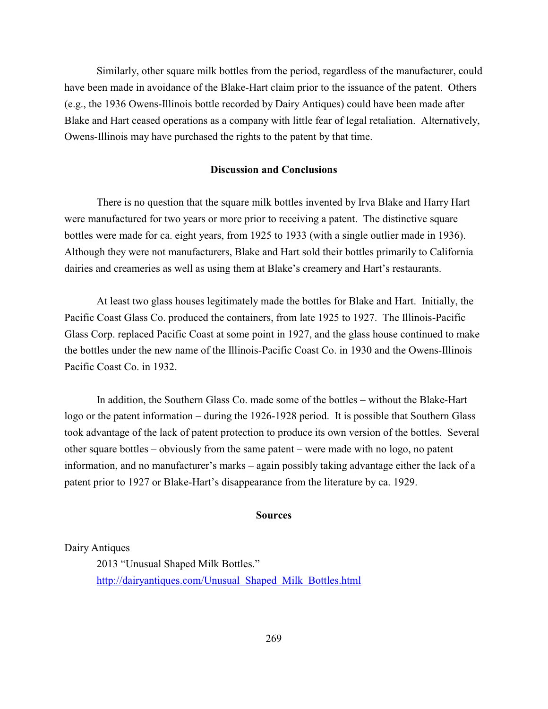Similarly, other square milk bottles from the period, regardless of the manufacturer, could have been made in avoidance of the Blake-Hart claim prior to the issuance of the patent. Others (e.g., the 1936 Owens-Illinois bottle recorded by Dairy Antiques) could have been made after Blake and Hart ceased operations as a company with little fear of legal retaliation. Alternatively, Owens-Illinois may have purchased the rights to the patent by that time.

## **Discussion and Conclusions**

There is no question that the square milk bottles invented by Irva Blake and Harry Hart were manufactured for two years or more prior to receiving a patent. The distinctive square bottles were made for ca. eight years, from 1925 to 1933 (with a single outlier made in 1936). Although they were not manufacturers, Blake and Hart sold their bottles primarily to California dairies and creameries as well as using them at Blake's creamery and Hart's restaurants.

At least two glass houses legitimately made the bottles for Blake and Hart. Initially, the Pacific Coast Glass Co. produced the containers, from late 1925 to 1927. The Illinois-Pacific Glass Corp. replaced Pacific Coast at some point in 1927, and the glass house continued to make the bottles under the new name of the Illinois-Pacific Coast Co. in 1930 and the Owens-Illinois Pacific Coast Co. in 1932.

In addition, the Southern Glass Co. made some of the bottles – without the Blake-Hart logo or the patent information – during the 1926-1928 period. It is possible that Southern Glass took advantage of the lack of patent protection to produce its own version of the bottles. Several other square bottles – obviously from the same patent – were made with no logo, no patent information, and no manufacturer's marks – again possibly taking advantage either the lack of a patent prior to 1927 or Blake-Hart's disappearance from the literature by ca. 1929.

### **Sources**

Dairy Antiques

2013 "Unusual Shaped Milk Bottles." [http://dairyantiques.com/Unusual\\_Shaped\\_Milk\\_Bottles.html](http://dairyantiques.com/Unusual_Shaped_Milk_Bottles.html)